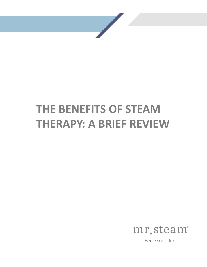# **THE BENEFITS OF STEAM THERAPY: A BRIEF REVIEW**



Feel Good Inc.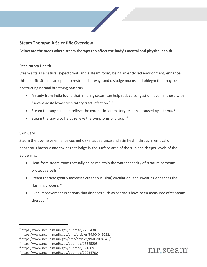### **Steam Therapy: A Scientific Overview**

**Below are the areas where steam therapy can affect the body's mental and physical health.** 

#### **Respiratory Health**

Steam acts as a natural expectorant, and a steam room, being an enclosed environment, enhances this benefit. Steam can open up restricted airways and dislodge mucus and phlegm that may be obstructing normal breathing patterns.

- A study from India found that inhaling steam can help reduce congestion, even in those with "severe acute lower respiratory tract infection."  $2$
- Steam therapy can help relieve the chronic inflammatory response caused by asthma.  $3$
- Steam therapy also helps relieve the symptoms of croup. [4](#page-1-2)

#### **Skin Care**

Steam therapy helps enhance cosmetic skin appearance and skin health through removal of dangerous bacteria and toxins that lodge in the surface area of the skin and deeper levels of the epidermis.

- Heat from steam rooms actually helps maintain the water capacity of stratum corneum protective cells. [5](#page-1-3)
- Steam therapy greatly increases cutaneous (skin) circulation, and sweating enhances the flushing process. [6](#page-1-4)
- Even improvement in serious skin diseases such as psoriasis have been measured after steam therapy.<sup>[7](#page-1-5)</sup>



<span id="page-1-0"></span><sup>2</sup> https://www.ncbi.nlm.nih.gov/pubmed/2286438

<span id="page-1-1"></span><sup>3</sup> https://www.ncbi.nlm.nih.gov/pmc/articles/PMC4049052/

<span id="page-1-2"></span><sup>4</sup> https://www.ncbi.nlm.nih.gov/pmc/articles/PMC2094841/

<span id="page-1-3"></span><sup>5</sup> <https://www.ncbi.nlm.nih.gov/pubmed/18525205>

<span id="page-1-4"></span><sup>6</sup> https://www.ncbi.nlm.nih.gov/pubmed/321889

<span id="page-1-5"></span><sup>7</sup> <https://www.ncbi.nlm.nih.gov/pubmed/20034760>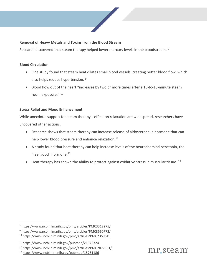#### **Removal of Heavy Metals and Toxins from the Blood Stream**

Research discovered that steam therapy helped lower mercury levels in the bloodstream. <sup>[8](#page-2-0)</sup>

#### **Blood Circulation**

- One study found that steam heat dilates small blood vessels, creating better blood flow, which also helps reduce hypertension.<sup>[9](#page-2-1)</sup>
- Blood flow out of the heart "increases by two or more times after a 10-to-15-minute steam room exposure." [10](#page-2-2)

#### **Stress Relief and Mood Enhancement**

While anecdotal support for steam therapy's effect on relaxation are widespread, researchers have uncovered other actions.

- Research shows that steam therapy can increase release of aldosterone, a hormone that can help lower blood pressure and enhance relaxation.<sup>[11](#page-2-3)</sup>
- A study found that heat therapy can help increase levels of the neurochemical serotonin, the "feel good" hormone.<sup>[12](#page-2-4)</sup>
- $\bullet$  Heat therapy has shown the ability to protect against oxidative stress in muscular tissue. <sup>[13](#page-2-5)</sup>



<span id="page-2-0"></span><sup>8</sup> <https://www.ncbi.nlm.nih.gov/pmc/articles/PMC3312275/>

<span id="page-2-1"></span><sup>9</sup> https://www.ncbi.nlm.nih.gov/pmc/articles/PMC3560772/

<span id="page-2-2"></span><sup>10</sup> <https://www.ncbi.nlm.nih.gov/pmc/articles/PMC2359619>

<span id="page-2-3"></span><sup>11</sup> https://www.ncbi.nlm.nih.gov/pubmed/21542324

<span id="page-2-4"></span><sup>&</sup>lt;sup>12</sup> https://www.ncbi.nlm.nih.gov/pmc/articles/PMC2077351/<br><sup>13</sup> <https://www.ncbi.nlm.nih.gov/pubmed/15761186>

<span id="page-2-5"></span>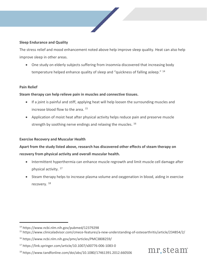#### **Sleep Endurance and Quality**

The stress relief and mood enhancement noted above help improve sleep quality. Heat can also help improve sleep in other areas.

• One study on elderly subjects suffering from insomnia discovered that increasing body temperature helped enhance quality of sleep and "quickness of falling asleep." [14](#page-3-0)

#### **Pain Relief**

#### **Steam therapy can help relieve pain in muscles and connective tissues.**

- If a joint is painful and stiff, applying heat will help loosen the surrounding muscles and increase blood flow to the area. [15](#page-3-1)
- Application of moist heat after physical activity helps reduce pain and preserve muscle strength by soothing nerve endings and relaxing the muscles. <sup>[16](#page-3-2)</sup>

#### **Exercise Recovery and Muscular Health**

## **Apart from the study listed above, research has discovered other effects of steam therapy on recovery from physical activity and overall muscular health.**

- Intermittent hyperthermia can enhance muscle regrowth and limit muscle cell damage after physical activity. [17](#page-3-3)
- Steam therapy helps to increase plasma volume and oxygenation in blood, aiding in exercise recovery. [18](#page-3-4)

<span id="page-3-4"></span><sup>18</sup> https://www.tandfonline.com/doi/abs/10.1080/17461391.2012.660506



<span id="page-3-0"></span><sup>14</sup> https://www.ncbi.nlm.nih.gov/pubmed/12379298

<span id="page-3-1"></span><sup>15</sup> https://www.clinicaladvisor.com/cmece-features/a-new-understanding-of-osteoarthritis/article/234854/2/

<span id="page-3-2"></span><sup>16</sup> https://www.ncbi.nlm.nih.gov/pmc/articles/PMC3808259/

<span id="page-3-3"></span><sup>17</sup> https://link.springer.com/article/10.1007/s00776-006-1083-0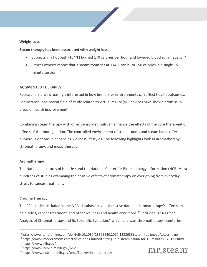#### **Weight Loss**

#### **Steam therapy has been associated with weight loss.**

- Subjects in a hot bath (104°F) burned 140 calories per hour and lowered blood sugar levels. <sup>[19](#page-4-0)</sup>
- Fitness experts report that a steam room set at 114°F can burn 150 calories in a single 15 minute session. [20](#page-4-1)

#### **AUGMENTED THERAPIES**

Researchers are increasingly interested in how immersive environments can affect health outcomes. For instance, one recent field of study related to virtual reality (VR) devices have shown promise in areas of health improvement.

Combining steam therapy with other sensory stimuli can enhance the effects of the core therapeutic effects of thermoregulation. The controlled environment of steam rooms and steam baths offer numerous options in enhancing wellness lifestyles. The following highlights look at aromatherapy, chromatherapy, and music therapy.

#### **Aromatherapy**

The National Institutes of Health<sup>21</sup> and the National Center for Biotechnology Information (NCBI)<sup>[22](#page-4-3)</sup> list hundreds of studies examining the positive effects of aromatherapy on everything from everyday stress to cancer treatment.

#### **Chroma Therapy**

The 921 studies included in the NCBI database have exhaustive data on chromatherapy's effects on pain relief, cancer treatment, and other wellness and health conditions.<sup>[23](#page-4-4)</sup> Included is "A Critical Analysis of Chromatherapy and Its Scientific Evolution," which analyzes chromatherapy's centuries-

<span id="page-4-1"></span><sup>20</sup> https://www.modernmom.com/the-calories-burned-sitting-in-a-steam-sauna-for-15-minutes-120171.html <sup>21</sup> https://www.nih.gov/



<span id="page-4-0"></span><sup>19</sup>https://www.tandfonline.com/doi/full/10.1080/23328940.2017.1288688?scroll=top&needAccess=true

<span id="page-4-3"></span><span id="page-4-2"></span><sup>22</sup> https://www.ncbi.nlm.nih.gov/pmc

<span id="page-4-4"></span><sup>23</sup> https://www.ncbi.nlm.nih.gov/pmc/?term=chromatherapy